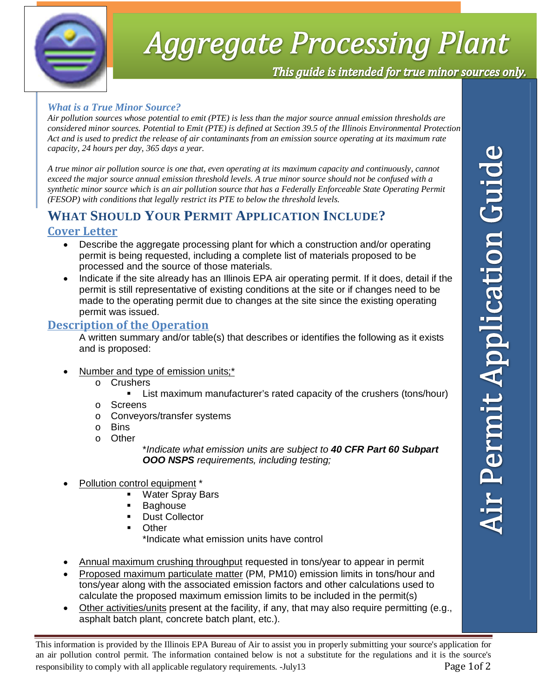

# **Aggregate Processing Plant**

This guide is intended for true minor sources only.

#### *What is a True Minor Source?*

*Air pollution sources whose potential to emit (PTE) is less than the major source annual emission thresholds are considered minor sources. Potential to Emit (PTE) is defined at Section 39.5 of the Illinois Environmental Protection Act and is used to predict the release of air contaminants from an emission source operating at its maximum rate capacity, 24 hours per day, 365 days a year.* 

*A true minor air pollution source is one that, even operating at its maximum capacity and continuously, cannot exceed the major source annual emission threshold levels. A true minor source should not be confused with a synthetic minor source which is an air pollution source that has a Federally Enforceable State Operating Permit (FESOP) with conditions that legally restrict its PTE to below the threshold levels.* 

### **WHAT SHOULD YOUR PERMIT APPLICATION INCLUDE?**

#### **Cover Letter**

- Describe the aggregate processing plant for which a construction and/or operating permit is being requested, including a complete list of materials proposed to be processed and the source of those materials.
- Indicate if the site already has an Illinois EPA air operating permit. If it does, detail if the permit is still representative of existing conditions at the site or if changes need to be made to the operating permit due to changes at the site since the existing operating permit was issued.

#### **Description of the Operation**

A written summary and/or table(s) that describes or identifies the following as it exists and is proposed:

- Number and type of emission units;\*
	- o Crushers
		- List maximum manufacturer's rated capacity of the crushers (tons/hour)
	- o Screens
	- o Conveyors/transfer systems
	- o Bins
	- o Other

- Pollution control equipment \*
	- Water Spray Bars
	- Baghouse
	- Dust Collector
	- **Other**

\*Indicate what emission units have control

- Annual maximum crushing throughput requested in tons/year to appear in permit
- Proposed maximum particulate matter (PM, PM10) emission limits in tons/hour and tons/year along with the associated emission factors and other calculations used to calculate the proposed maximum emission limits to be included in the permit(s)
- Other activities/units present at the facility, if any, that may also require permitting (e.g., asphalt batch plant, concrete batch plant, etc.).

This information is provided by the Illinois EPA Bureau of Air to assist you in properly submitting your source's application for an air pollution control permit. The information contained below is not a substitute for the regulations and it is the source's responsibility to comply with all applicable regulatory requirements. -July13 Page 1of 2

<sup>\*</sup>*Indicate what emission units are subject to 40 CFR Part 60 Subpart OOO NSPS requirements, including testing;*